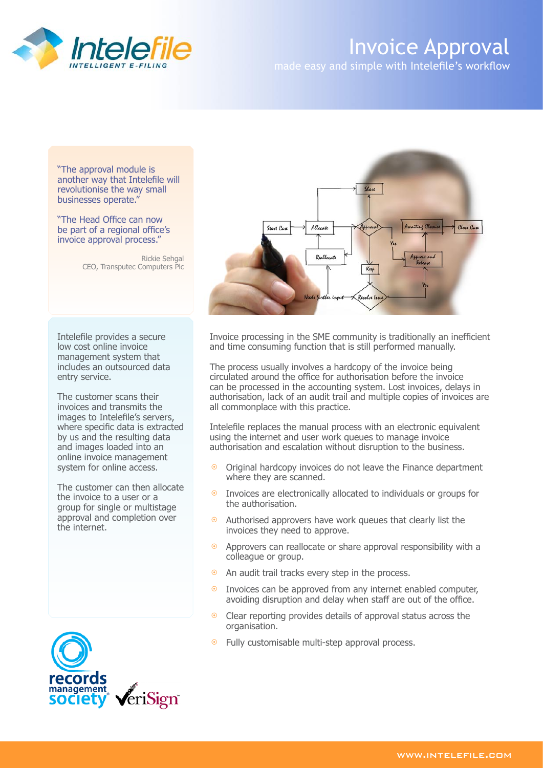

## Invoice Approval

made easy and simple with Intelefile's workflow

"The approval module is another way that Intelefile will revolutionise the way small businesses operate."

"The Head Office can now be part of a regional office's invoice approval process."

> Rickie Sehgal CEO, Transputec Computers Plc

Intelefile provides a secure low cost online invoice management system that includes an outsourced data entry service.

The customer scans their invoices and transmits the images to Intelefile's servers, where specific data is extracted by us and the resulting data and images loaded into an online invoice management system for online access.

The customer can then allocate the invoice to a user or a group for single or multistage approval and completion over the internet.





Invoice processing in the SME community is traditionally an inefficient and time consuming function that is still performed manually.

The process usually involves a hardcopy of the invoice being circulated around the office for authorisation before the invoice can be processed in the accounting system. Lost invoices, delays in authorisation, lack of an audit trail and multiple copies of invoices are all commonplace with this practice.

Intelefile replaces the manual process with an electronic equivalent using the internet and user work queues to manage invoice authorisation and escalation without disruption to the business.

- Original hardcopy invoices do not leave the Finance department where they are scanned.  $\odot$
- Invoices are electronically allocated to individuals or groups for the authorisation.  $\odot$
- Authorised approvers have work queues that clearly list the invoices they need to approve.  $\odot$
- Approvers can reallocate or share approval responsibility with a colleague or group.  $\odot$
- An audit trail tracks every step in the process.  $\odot$
- Invoices can be approved from any internet enabled computer, avoiding disruption and delay when staff are out of the office.  $\odot$
- Clear reporting provides details of approval status across the organisation.  $\odot$
- Fully customisable multi-step approval process.  $\odot$